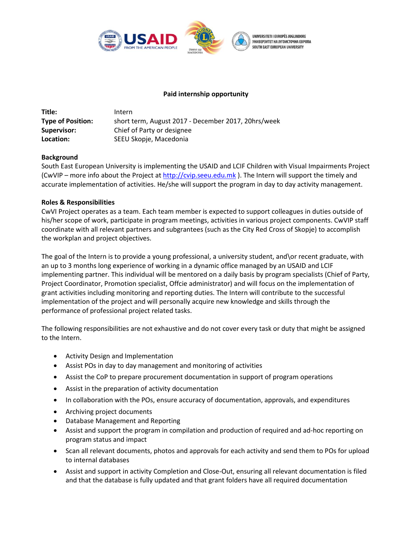

## **Paid internship opportunity**

| Title:                   | Intern                                              |
|--------------------------|-----------------------------------------------------|
| <b>Type of Position:</b> | short term, August 2017 - December 2017, 20hrs/week |
| Supervisor:              | Chief of Party or designee                          |
| Location:                | SEEU Skopje, Macedonia                              |

# **Background**

South East European University is implementing the USAID and LCIF Children with Visual Impairments Project (CwVIP – more info about the Project at [http://cvip.seeu.edu.mk](http://cvip.seeu.edu.mk/) ). The Intern will support the timely and accurate implementation of activities. He/she will support the program in day to day activity management.

### **Roles & Responsibilities**

CwVI Project operates as a team. Each team member is expected to support colleagues in duties outside of his/her scope of work, participate in program meetings, activities in various project components. CwVIP staff coordinate with all relevant partners and subgrantees (such as the City Red Cross of Skopje) to accomplish the workplan and project objectives.

The goal of the Intern is to provide a young professional, a university student, and\or recent graduate, with an up to 3 months long experience of working in a dynamic office managed by an USAID and LCIF implementing partner. This individual will be mentored on a daily basis by program specialists (Chief of Party, Project Coordinator, Promotion specialist, Offcie administrator) and will focus on the implementation of grant activities including monitoring and reporting duties. The Intern will contribute to the successful implementation of the project and will personally acquire new knowledge and skills through the performance of professional project related tasks.

The following responsibilities are not exhaustive and do not cover every task or duty that might be assigned to the Intern.

- Activity Design and Implementation
- Assist POs in day to day management and monitoring of activities
- Assist the CoP to prepare procurement documentation in support of program operations
- Assist in the preparation of activity documentation
- In collaboration with the POs, ensure accuracy of documentation, approvals, and expenditures
- Archiving project documents
- Database Management and Reporting
- Assist and support the program in compilation and production of required and ad-hoc reporting on program status and impact
- Scan all relevant documents, photos and approvals for each activity and send them to POs for upload to internal databases
- Assist and support in activity Completion and Close-Out, ensuring all relevant documentation is filed and that the database is fully updated and that grant folders have all required documentation